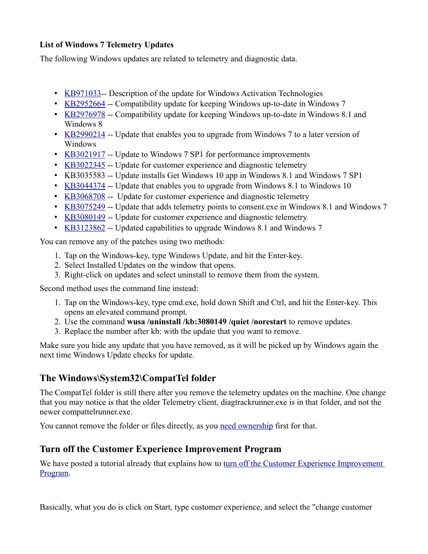#### **List of Windows 7 Telemetry Updates**

The following Windows updates are related to telemetry and diagnostic data.

- [KB971033-](https://support.microsoft.com/en-us/help/971033/description-of-the-update-for-windows-activation-technologies) Description of the update for Windows Activation Technologies
- [KB2952664](https://support.microsoft.com/en-us/help/2952664/compatibility-update-for-keeping-windows-up-to-date-in-windows-7) -- Compatibility update for keeping Windows up-to-date in Windows 7
- [KB2976978](https://support.microsoft.com/en-us/help/2976978/compatibility-update-for-keeping-windows-up-to-date-in-windows-8.1-and-windows-8) -- Compatibility update for keeping Windows up-to-date in Windows 8.1 and Windows 8
- [KB2990214](https://support.microsoft.com/en-us/help/2990214/update-that-enables-you-to-upgrade-from-windows-7-to-a-later-version-of-windows) -- Update that enables you to upgrade from Windows 7 to a later version of Windows
- [KB3021917](https://support.microsoft.com/en-us/help/3021917/update-to-windows-7-sp1-for-performance-improvements) -- Update to Windows 7 SP1 for performance improvements
- [KB3022345](https://support.microsoft.com/en-au/help/3022345/update-for-customer-experience-and-diagnostic-telemetry) -- Update for customer experience and diagnostic telemetry
- KB3035583 -- Update installs Get Windows 10 app in Windows 8.1 and Windows 7 SP1
- [KB3044374](https://support.microsoft.com/en-us/help/3044374/update-that-enables-you-to-upgrade-from-windows-8.1-to-windows-10) -- Update that enables you to upgrade from Windows 8.1 to Windows 10
- [KB3068708](https://support.microsoft.com/en-us/help/3068708/update-for-customer-experience-and-diagnostic-telemetry) -- Update for customer experience and diagnostic telemetry
- [KB3075249](https://support.microsoft.com/en-us/help/3075249/update-that-adds-telemetry-points-to-consent.exe-in-windows-8.1-and-windows-7) -- Update that adds telemetry points to consent.exe in Windows 8.1 and Windows 7
- [KB3080149](https://support.microsoft.com/en-us/help/3080149/update-for-customer-experience-and-diagnostic-telemetry) -- Update for customer experience and diagnostic telemetry
- [KB3123862](https://support.microsoft.com/en-us/help/3123862/updated-capabilities-to-upgrade-windows-8.1-and-windows-7) -- Updated capabilities to upgrade Windows 8.1 and Windows 7

You can remove any of the patches using two methods:

- 1. Tap on the Windows-key, type Windows Update, and hit the Enter-key.
- 2. Select Installed Updates on the window that opens.
- 3. Right-click on updates and select uninstall to remove them from the system.

Second method uses the command line instead:

- 1. Tap on the Windows-key, type cmd.exe, hold down Shift and Ctrl, and hit the Enter-key. This opens an elevated command prompt.
- 2. Use the command **wusa /uninstall /kb:3080149 /quiet /norestart** to remove updates.
- 3. Replace the number after kb: with the update that you want to remove.

Make sure you hide any update that you have removed, as it will be picked up by Windows again the next time Windows Update checks for update.

# **The Windows\System32\CompatTel folder**

The CompatTel folder is still there after you remove the telemetry updates on the machine. One change that you may notice is that the older Telemetry client, diagtrackrunner.exe is in that folder, and not the newer compattelrunner.exe.

You cannot remove the folder or files directly, as you [need ownership](https://technet.microsoft.com/en-us/library/cc753659(v=ws.11).aspx) first for that.

## **Turn off the Customer Experience Improvement Program**

We have posted a tutorial already that explains how to turn off the Customer Experience Improvement [Program.](https://www.ghacks.net/2016/10/26/turn-off-the-windows-customer-experience-program/)

Basically, what you do is click on Start, type customer experience, and select the "change customer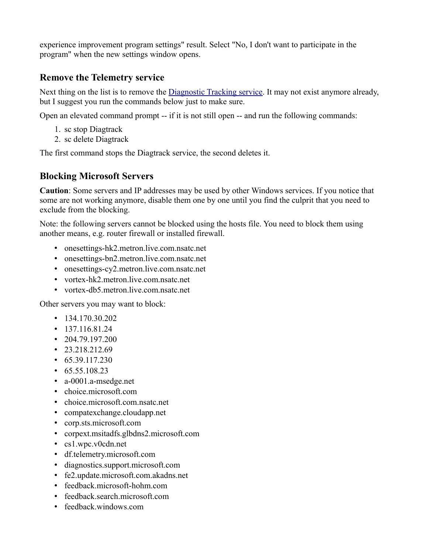experience improvement program settings" result. Select "No, I don't want to participate in the program" when the new settings window opens.

### **Remove the Telemetry service**

Next thing on the list is to remove the **Diagnostic Tracking service**. It may not exist anymore already, but I suggest you run the commands below just to make sure.

Open an elevated command prompt -- if it is not still open -- and run the following commands:

- 1. sc stop Diagtrack
- 2. sc delete Diagtrack

The first command stops the Diagtrack service, the second deletes it.

### **Blocking Microsoft Servers**

**Caution**: Some servers and IP addresses may be used by other Windows services. If you notice that some are not working anymore, disable them one by one until you find the culprit that you need to exclude from the blocking.

Note: the following servers cannot be blocked using the hosts file. You need to block them using another means, e.g. router firewall or installed firewall.

- onesettings-hk2.metron.live.com.nsatc.net
- onesettings-bn2.metron.live.com.nsatc.net
- onesettings-cy2.metron.live.com.nsatc.net
- vortex-hk2.metron.live.com.nsatc.net
- vortex-db5.metron.live.com.nsatc.net

Other servers you may want to block:

- $\cdot$  134.170.30.202
- $\cdot$  137.116.81.24
- $\cdot$  204.79.197.200
- $\cdot$  23.218.212.69
- $\cdot$  65.39.117.230
- $\cdot$  65.55.108.23
- a-0001.a-msedge.net
- choice.microsoft.com
- choice.microsoft.com.nsatc.net
- compatexchange.cloudapp.net
- corp.sts.microsoft.com
- corpext.msitadfs.glbdns2.microsoft.com
- cs1.wpc.v0cdn.net
- df.telemetry.microsoft.com
- diagnostics.support.microsoft.com
- fe2.update.microsoft.com.akadns.net
- feedback.microsoft-hohm.com
- feedback.search.microsoft.com
- feedback windows com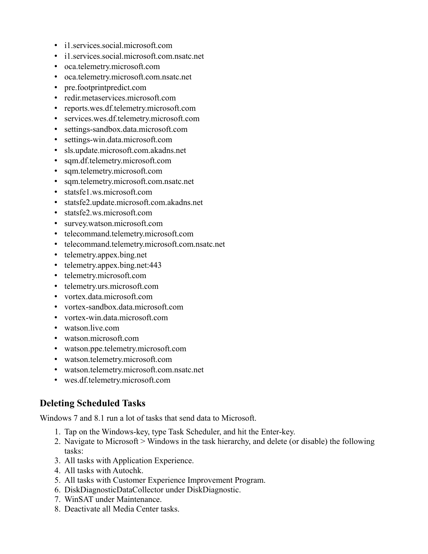- i1.services.social.microsoft.com
- i1.services.social.microsoft.com.nsatc.net
- oca.telemetry.microsoft.com
- oca.telemetry.microsoft.com.nsatc.net
- pre.footprintpredict.com
- redir.metaservices.microsoft.com
- reports.wes.df.telemetry.microsoft.com
- services.wes.df.telemetry.microsoft.com
- settings-sandbox.data.microsoft.com
- settings-win.data.microsoft.com
- sls.update.microsoft.com.akadns.net
- sqm.df.telemetry.microsoft.com
- sqm.telemetry.microsoft.com
- sqm.telemetry.microsoft.com.nsatc.net
- statsfe1.ws.microsoft.com
- statsfe2.update.microsoft.com.akadns.net
- statsfe2.ws.microsoft.com
- survey.watson.microsoft.com
- telecommand.telemetry.microsoft.com
- telecommand.telemetry.microsoft.com.nsatc.net
- telemetry.appex.bing.net
- telemetry.appex.bing.net:443
- telemetry.microsoft.com
- telemetry.urs.microsoft.com
- vortex.data.microsoft.com
- vortex-sandbox.data.microsoft.com
- vortex-win.data.microsoft.com
- watson.live.com
- watson.microsoft.com
- watson.ppe.telemetry.microsoft.com
- watson.telemetry.microsoft.com
- watson.telemetry.microsoft.com.nsatc.net
- wes.df.telemetry.microsoft.com

## **Deleting Scheduled Tasks**

Windows 7 and 8.1 run a lot of tasks that send data to Microsoft.

- 1. Tap on the Windows-key, type Task Scheduler, and hit the Enter-key.
- 2. Navigate to Microsoft > Windows in the task hierarchy, and delete (or disable) the following tasks:
- 3. All tasks with Application Experience.
- 4. All tasks with Autochk.
- 5. All tasks with Customer Experience Improvement Program.
- 6. DiskDiagnosticDataCollector under DiskDiagnostic.
- 7. WinSAT under Maintenance.
- 8. Deactivate all Media Center tasks.